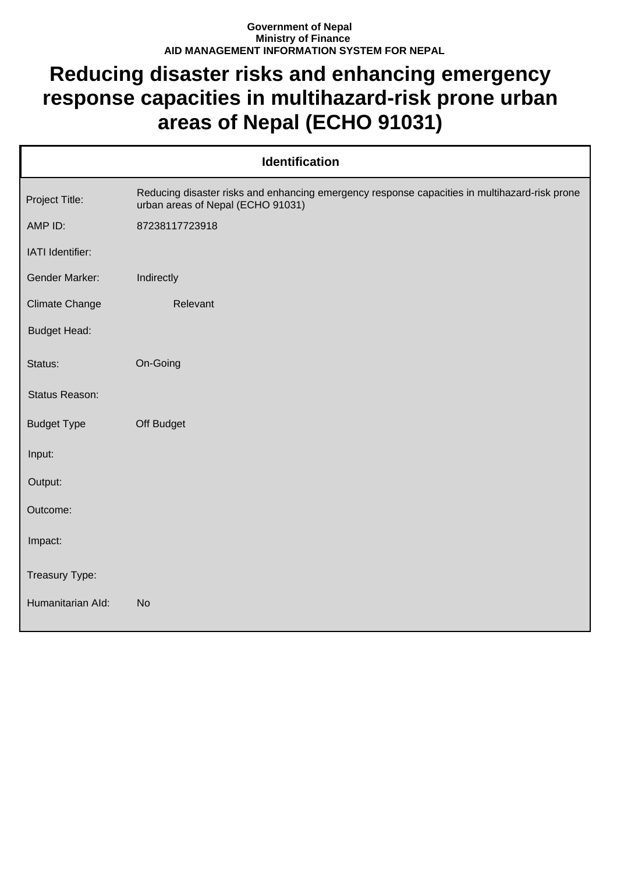## **Government of Nepal Ministry of Finance AID MANAGEMENT INFORMATION SYSTEM FOR NEPAL**

## **Reducing disaster risks and enhancing emergency response capacities in multihazard-risk prone urban areas of Nepal (ECHO 91031)**

| <b>Identification</b> |                                                                                                                                    |  |
|-----------------------|------------------------------------------------------------------------------------------------------------------------------------|--|
| Project Title:        | Reducing disaster risks and enhancing emergency response capacities in multihazard-risk prone<br>urban areas of Nepal (ECHO 91031) |  |
| AMP ID:               | 87238117723918                                                                                                                     |  |
| IATI Identifier:      |                                                                                                                                    |  |
| <b>Gender Marker:</b> | Indirectly                                                                                                                         |  |
| <b>Climate Change</b> | Relevant                                                                                                                           |  |
| <b>Budget Head:</b>   |                                                                                                                                    |  |
| Status:               | On-Going                                                                                                                           |  |
| Status Reason:        |                                                                                                                                    |  |
| <b>Budget Type</b>    | Off Budget                                                                                                                         |  |
| Input:                |                                                                                                                                    |  |
| Output:               |                                                                                                                                    |  |
| Outcome:              |                                                                                                                                    |  |
| Impact:               |                                                                                                                                    |  |
| Treasury Type:        |                                                                                                                                    |  |
| Humanitarian Ald:     | <b>No</b>                                                                                                                          |  |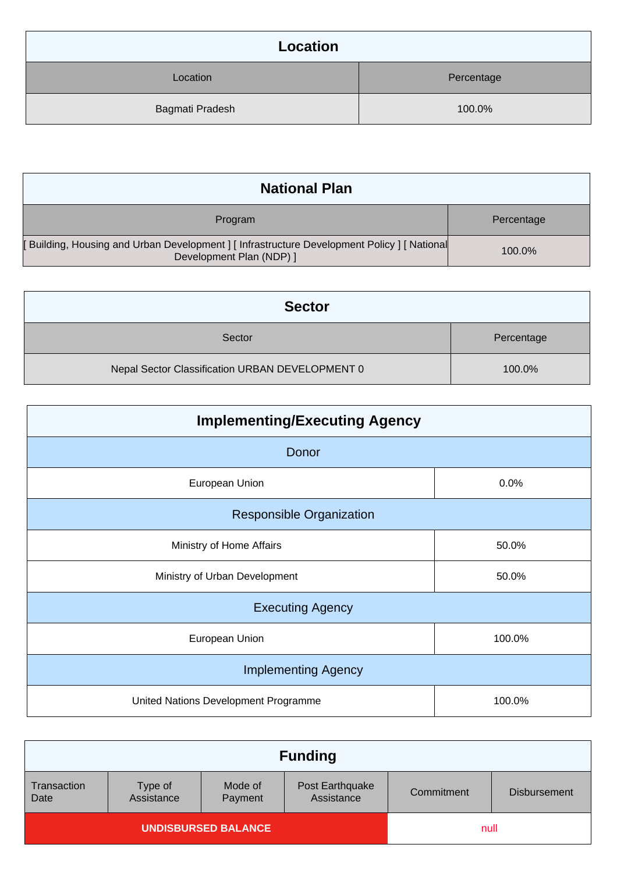| Location        |            |
|-----------------|------------|
| Location        | Percentage |
| Bagmati Pradesh | 100.0%     |

| <b>National Plan</b>                                                                                                |            |
|---------------------------------------------------------------------------------------------------------------------|------------|
| Program                                                                                                             | Percentage |
| [Building, Housing and Urban Development] [Infrastructure Development Policy] [National<br>Development Plan (NDP) ] | 100.0%     |

| <b>Sector</b>                                   |            |
|-------------------------------------------------|------------|
| Sector                                          | Percentage |
| Nepal Sector Classification URBAN DEVELOPMENT 0 | 100.0%     |

| <b>Implementing/Executing Agency</b> |        |  |
|--------------------------------------|--------|--|
| Donor                                |        |  |
| European Union                       | 0.0%   |  |
| <b>Responsible Organization</b>      |        |  |
| Ministry of Home Affairs             | 50.0%  |  |
| Ministry of Urban Development        | 50.0%  |  |
| <b>Executing Agency</b>              |        |  |
| European Union                       | 100.0% |  |
| <b>Implementing Agency</b>           |        |  |
| United Nations Development Programme | 100.0% |  |

| <b>Funding</b>             |                       |                    |                               |            |                     |
|----------------------------|-----------------------|--------------------|-------------------------------|------------|---------------------|
| Transaction<br>Date        | Type of<br>Assistance | Mode of<br>Payment | Post Earthquake<br>Assistance | Commitment | <b>Disbursement</b> |
| <b>UNDISBURSED BALANCE</b> |                       |                    | null                          |            |                     |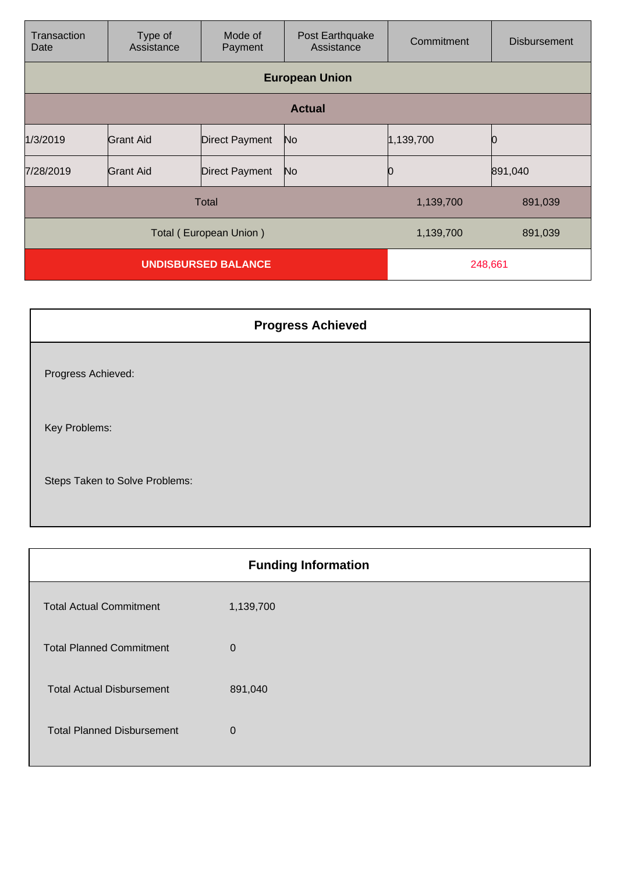| Transaction<br>Date        | Type of<br>Assistance | Mode of<br>Payment    | Post Earthquake<br>Assistance | Commitment | <b>Disbursement</b> |
|----------------------------|-----------------------|-----------------------|-------------------------------|------------|---------------------|
|                            |                       |                       | <b>European Union</b>         |            |                     |
|                            | <b>Actual</b>         |                       |                               |            |                     |
| 1/3/2019                   | Grant Aid             | <b>Direct Payment</b> | No                            | 1,139,700  |                     |
| 7/28/2019                  | Grant Aid             | <b>Direct Payment</b> | No                            |            | 891,040             |
| <b>Total</b>               |                       |                       | 1,139,700                     | 891,039    |                     |
| Total (European Union)     |                       |                       | 1,139,700                     | 891,039    |                     |
| <b>UNDISBURSED BALANCE</b> |                       |                       | 248,661                       |            |                     |

| <b>Progress Achieved</b>       |
|--------------------------------|
| Progress Achieved:             |
| Key Problems:                  |
| Steps Taken to Solve Problems: |

|                                   | <b>Funding Information</b> |
|-----------------------------------|----------------------------|
| <b>Total Actual Commitment</b>    | 1,139,700                  |
| <b>Total Planned Commitment</b>   | $\mathbf 0$                |
| <b>Total Actual Disbursement</b>  | 891,040                    |
| <b>Total Planned Disbursement</b> | 0                          |
|                                   |                            |